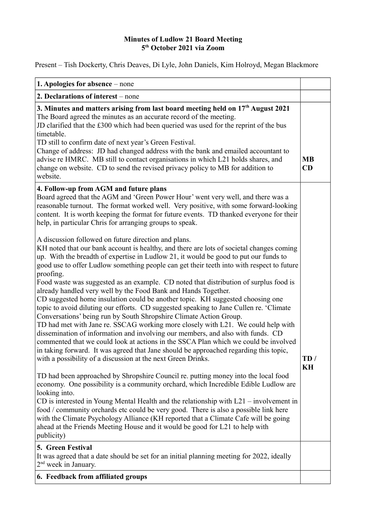## **Minutes of Ludlow 21 Board Meeting 5 th October 2021 via Zoom**

Present – Tish Dockerty, Chris Deaves, Di Lyle, John Daniels, Kim Holroyd, Megan Blackmore

| 1. Apologies for absence - none                                                                                                                                                                                                                                                                                                                                                                                                                                                                                                                                                                                                                                                                                                                                                                                                                                                                                                                                                                                                                                                                                                                                                                                                                                                                                                                                                                                                                                                                                                                                                                                                                                                                                                                               |                 |
|---------------------------------------------------------------------------------------------------------------------------------------------------------------------------------------------------------------------------------------------------------------------------------------------------------------------------------------------------------------------------------------------------------------------------------------------------------------------------------------------------------------------------------------------------------------------------------------------------------------------------------------------------------------------------------------------------------------------------------------------------------------------------------------------------------------------------------------------------------------------------------------------------------------------------------------------------------------------------------------------------------------------------------------------------------------------------------------------------------------------------------------------------------------------------------------------------------------------------------------------------------------------------------------------------------------------------------------------------------------------------------------------------------------------------------------------------------------------------------------------------------------------------------------------------------------------------------------------------------------------------------------------------------------------------------------------------------------------------------------------------------------|-----------------|
| 2. Declarations of interest – none                                                                                                                                                                                                                                                                                                                                                                                                                                                                                                                                                                                                                                                                                                                                                                                                                                                                                                                                                                                                                                                                                                                                                                                                                                                                                                                                                                                                                                                                                                                                                                                                                                                                                                                            |                 |
| 3. Minutes and matters arising from last board meeting held on 17 <sup>th</sup> August 2021<br>The Board agreed the minutes as an accurate record of the meeting.<br>JD clarified that the £300 which had been queried was used for the reprint of the bus<br>timetable.<br>TD still to confirm date of next year's Green Festival.<br>Change of address: JD had changed address with the bank and emailed accountant to<br>advise re HMRC. MB still to contact organisations in which L21 holds shares, and<br>change on website. CD to send the revised privacy policy to MB for addition to<br>website.                                                                                                                                                                                                                                                                                                                                                                                                                                                                                                                                                                                                                                                                                                                                                                                                                                                                                                                                                                                                                                                                                                                                                    | <b>MB</b><br>CD |
| 4. Follow-up from AGM and future plans<br>Board agreed that the AGM and 'Green Power Hour' went very well, and there was a<br>reasonable turnout. The format worked well. Very positive, with some forward-looking<br>content. It is worth keeping the format for future events. TD thanked everyone for their<br>help, in particular Chris for arranging groups to speak.                                                                                                                                                                                                                                                                                                                                                                                                                                                                                                                                                                                                                                                                                                                                                                                                                                                                                                                                                                                                                                                                                                                                                                                                                                                                                                                                                                                    |                 |
| A discussion followed on future direction and plans.<br>KH noted that our bank account is healthy, and there are lots of societal changes coming<br>up. With the breadth of expertise in Ludlow 21, it would be good to put our funds to<br>good use to offer Ludlow something people can get their teeth into with respect to future<br>proofing.<br>Food waste was suggested as an example. CD noted that distribution of surplus food is<br>already handled very well by the Food Bank and Hands Together.<br>CD suggested home insulation could be another topic. KH suggested choosing one<br>topic to avoid diluting our efforts. CD suggested speaking to Jane Cullen re. 'Climate<br>Conversations' being run by South Shropshire Climate Action Group.<br>TD had met with Jane re. SSCAG working more closely with L21. We could help with<br>dissemination of information and involving our members, and also with funds. CD<br>commented that we could look at actions in the SSCA Plan which we could be involved<br>in taking forward. It was agreed that Jane should be approached regarding this topic,<br>with a possibility of a discussion at the next Green Drinks.<br>TD had been approached by Shropshire Council re. putting money into the local food<br>economy. One possibility is a community orchard, which Incredible Edible Ludlow are<br>looking into.<br>CD is interested in Young Mental Health and the relationship with $L21$ – involvement in<br>food / community orchards etc could be very good. There is also a possible link here<br>with the Climate Psychology Alliance (KH reported that a Climate Cafe will be going<br>ahead at the Friends Meeting House and it would be good for L21 to help with<br>publicity) | TD/<br>KH       |
| 5. Green Festival<br>It was agreed that a date should be set for an initial planning meeting for 2022, ideally<br>$2nd$ week in January.                                                                                                                                                                                                                                                                                                                                                                                                                                                                                                                                                                                                                                                                                                                                                                                                                                                                                                                                                                                                                                                                                                                                                                                                                                                                                                                                                                                                                                                                                                                                                                                                                      |                 |
| 6. Feedback from affiliated groups                                                                                                                                                                                                                                                                                                                                                                                                                                                                                                                                                                                                                                                                                                                                                                                                                                                                                                                                                                                                                                                                                                                                                                                                                                                                                                                                                                                                                                                                                                                                                                                                                                                                                                                            |                 |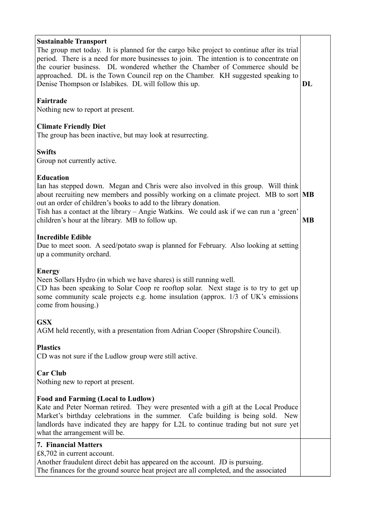| <b>Sustainable Transport</b><br>The group met today. It is planned for the cargo bike project to continue after its trial<br>period. There is a need for more businesses to join. The intention is to concentrate on<br>the courier business. DL wondered whether the Chamber of Commerce should be<br>approached. DL is the Town Council rep on the Chamber. KH suggested speaking to<br>Denise Thompson or Islabikes. DL will follow this up. | DL        |
|-------------------------------------------------------------------------------------------------------------------------------------------------------------------------------------------------------------------------------------------------------------------------------------------------------------------------------------------------------------------------------------------------------------------------------------------------|-----------|
| Fairtrade<br>Nothing new to report at present.                                                                                                                                                                                                                                                                                                                                                                                                  |           |
| <b>Climate Friendly Diet</b><br>The group has been inactive, but may look at resurrecting.                                                                                                                                                                                                                                                                                                                                                      |           |
| <b>Swifts</b><br>Group not currently active.                                                                                                                                                                                                                                                                                                                                                                                                    |           |
| <b>Education</b><br>Ian has stepped down. Megan and Chris were also involved in this group. Will think<br>about recruiting new members and possibly working on a climate project. MB to sort MB<br>out an order of children's books to add to the library donation.<br>Tish has a contact at the library – Angie Watkins. We could ask if we can run a 'green'<br>children's hour at the library. MB to follow up.                              | <b>MB</b> |
| <b>Incredible Edible</b><br>Due to meet soon. A seed/potato swap is planned for February. Also looking at setting<br>up a community orchard.                                                                                                                                                                                                                                                                                                    |           |
| <b>Energy</b><br>Neen Sollars Hydro (in which we have shares) is still running well.<br>CD has been speaking to Solar Coop re rooftop solar. Next stage is to try to get up<br>some community scale projects e.g. home insulation (approx. 1/3 of UK's emissions<br>come from housing.)                                                                                                                                                         |           |
| <b>GSX</b><br>AGM held recently, with a presentation from Adrian Cooper (Shropshire Council).                                                                                                                                                                                                                                                                                                                                                   |           |
| <b>Plastics</b><br>CD was not sure if the Ludlow group were still active.                                                                                                                                                                                                                                                                                                                                                                       |           |
| <b>Car Club</b><br>Nothing new to report at present.                                                                                                                                                                                                                                                                                                                                                                                            |           |
| <b>Food and Farming (Local to Ludlow)</b><br>Kate and Peter Norman retired. They were presented with a gift at the Local Produce<br>Market's birthday celebrations in the summer. Cafe building is being sold. New<br>landlords have indicated they are happy for L2L to continue trading but not sure yet<br>what the arrangement will be.                                                                                                     |           |
| 7. Financial Matters<br>£8,702 in current account.<br>Another fraudulent direct debit has appeared on the account. JD is pursuing.<br>The finances for the ground source heat project are all completed, and the associated                                                                                                                                                                                                                     |           |